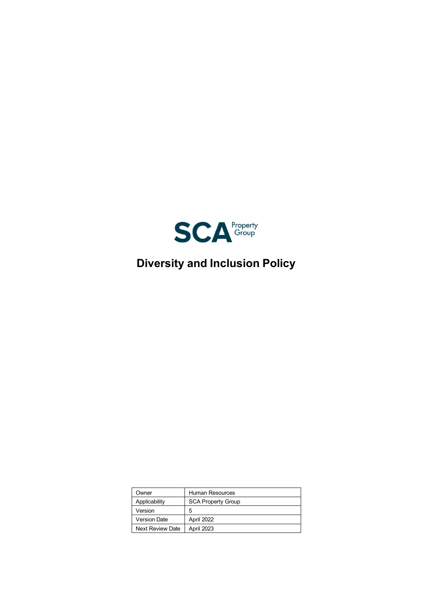

# **Diversity and Inclusion Policy**

| Owner                   | Human Resources           |
|-------------------------|---------------------------|
| Applicability           | <b>SCA Property Group</b> |
| Version                 | 5                         |
| <b>Version Date</b>     | April 2022                |
| <b>Next Review Date</b> | April 2023                |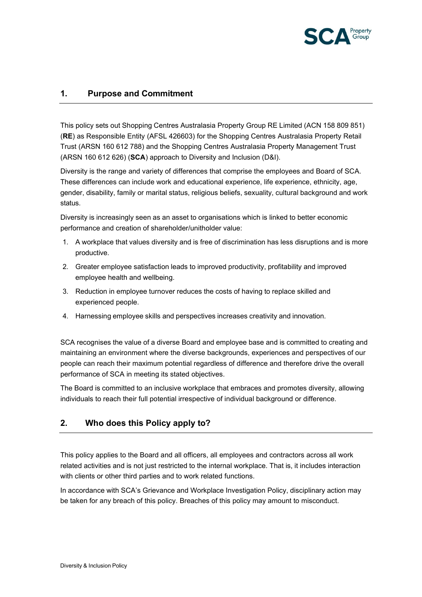

## **1. Purpose and Commitment**

This policy sets out Shopping Centres Australasia Property Group RE Limited (ACN 158 809 851) (**RE**) as Responsible Entity (AFSL 426603) for the Shopping Centres Australasia Property Retail Trust (ARSN 160 612 788) and the Shopping Centres Australasia Property Management Trust (ARSN 160 612 626) (**SCA**) approach to Diversity and Inclusion (D&I).

Diversity is the range and variety of differences that comprise the employees and Board of SCA. These differences can include work and educational experience, life experience, ethnicity, age, gender, disability, family or marital status, religious beliefs, sexuality, cultural background and work status.

Diversity is increasingly seen as an asset to organisations which is linked to better economic performance and creation of shareholder/unitholder value:

- 1. A workplace that values diversity and is free of discrimination has less disruptions and is more productive.
- 2. Greater employee satisfaction leads to improved productivity, profitability and improved employee health and wellbeing.
- 3. Reduction in employee turnover reduces the costs of having to replace skilled and experienced people.
- 4. Harnessing employee skills and perspectives increases creativity and innovation.

SCA recognises the value of a diverse Board and employee base and is committed to creating and maintaining an environment where the diverse backgrounds, experiences and perspectives of our people can reach their maximum potential regardless of difference and therefore drive the overall performance of SCA in meeting its stated objectives.

The Board is committed to an inclusive workplace that embraces and promotes diversity, allowing individuals to reach their full potential irrespective of individual background or difference.

## **2. Who does this Policy apply to?**

This policy applies to the Board and all officers, all employees and contractors across all work related activities and is not just restricted to the internal workplace. That is, it includes interaction with clients or other third parties and to work related functions.

In accordance with SCA's Grievance and Workplace Investigation Policy, disciplinary action may be taken for any breach of this policy. Breaches of this policy may amount to misconduct.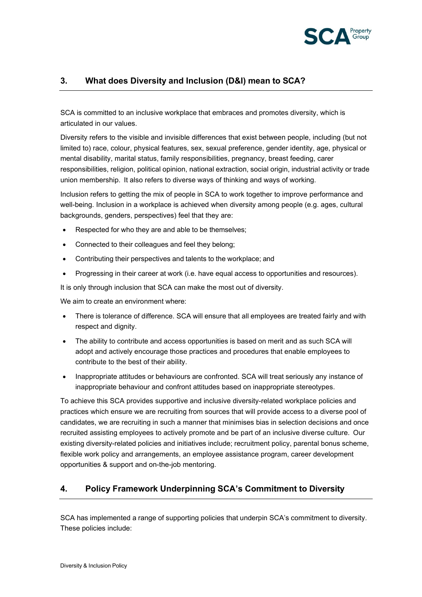

## **3. What does Diversity and Inclusion (D&I) mean to SCA?**

SCA is committed to an inclusive workplace that embraces and promotes diversity, which is articulated in our values.

Diversity refers to the visible and invisible differences that exist between people, including (but not limited to) race, colour, physical features, sex, sexual preference, gender identity, age, physical or mental disability, marital status, family responsibilities, pregnancy, breast feeding, carer responsibilities, religion, political opinion, national extraction, social origin, industrial activity or trade union membership. It also refers to diverse ways of thinking and ways of working.

Inclusion refers to getting the mix of people in SCA to work together to improve performance and well-being. Inclusion in a workplace is achieved when diversity among people (e.g. ages, cultural backgrounds, genders, perspectives) feel that they are:

- Respected for who they are and able to be themselves;
- Connected to their colleagues and feel they belong;
- Contributing their perspectives and talents to the workplace; and
- Progressing in their career at work (i.e. have equal access to opportunities and resources).

It is only through inclusion that SCA can make the most out of diversity.

We aim to create an environment where:

- There is tolerance of difference. SCA will ensure that all employees are treated fairly and with respect and dignity.
- The ability to contribute and access opportunities is based on merit and as such SCA will adopt and actively encourage those practices and procedures that enable employees to contribute to the best of their ability.
- Inappropriate attitudes or behaviours are confronted. SCA will treat seriously any instance of inappropriate behaviour and confront attitudes based on inappropriate stereotypes.

To achieve this SCA provides supportive and inclusive diversity-related workplace policies and practices which ensure we are recruiting from sources that will provide access to a diverse pool of candidates, we are recruiting in such a manner that minimises bias in selection decisions and once recruited assisting employees to actively promote and be part of an inclusive diverse culture. Our existing diversity-related policies and initiatives include; recruitment policy, parental bonus scheme, flexible work policy and arrangements, an employee assistance program, career development opportunities & support and on-the-job mentoring.

## **4. Policy Framework Underpinning SCA's Commitment to Diversity**

SCA has implemented a range of supporting policies that underpin SCA's commitment to diversity. These policies include: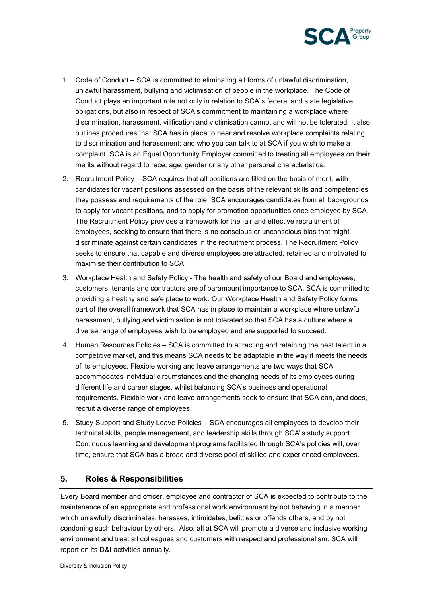

- 1. Code of Conduct SCA is committed to eliminating all forms of unlawful discrimination, unlawful harassment, bullying and victimisation of people in the workplace. The Code of Conduct plays an important role not only in relation to SCA"s federal and state legislative obligations, but also in respect of SCA's commitment to maintaining a workplace where discrimination, harassment, vilification and victimisation cannot and will not be tolerated. It also outlines procedures that SCA has in place to hear and resolve workplace complaints relating to discrimination and harassment; and who you can talk to at SCA if you wish to make a complaint. SCA is an Equal Opportunity Employer committed to treating all employees on their merits without regard to race, age, gender or any other personal characteristics.
- 2. Recruitment Policy SCA requires that all positions are filled on the basis of merit, with candidates for vacant positions assessed on the basis of the relevant skills and competencies they possess and requirements of the role. SCA encourages candidates from all backgrounds to apply for vacant positions, and to apply for promotion opportunities once employed by SCA. The Recruitment Policy provides a framework for the fair and effective recruitment of employees, seeking to ensure that there is no conscious or unconscious bias that might discriminate against certain candidates in the recruitment process. The Recruitment Policy seeks to ensure that capable and diverse employees are attracted, retained and motivated to maximise their contribution to SCA.
- 3. Workplace Health and Safety Policy The health and safety of our Board and employees, customers, tenants and contractors are of paramount importance to SCA. SCA is committed to providing a healthy and safe place to work. Our Workplace Health and Safety Policy forms part of the overall framework that SCA has in place to maintain a workplace where unlawful harassment, bullying and victimisation is not tolerated so that SCA has a culture where a diverse range of employees wish to be employed and are supported to succeed.
- 4. Human Resources Policies SCA is committed to attracting and retaining the best talent in a competitive market, and this means SCA needs to be adaptable in the way it meets the needs of its employees. Flexible working and leave arrangements are two ways that SCA accommodates individual circumstances and the changing needs of its employees during different life and career stages, whilst balancing SCA's business and operational requirements. Flexible work and leave arrangements seek to ensure that SCA can, and does, recruit a diverse range of employees.
- 5. Study Support and Study Leave Policies SCA encourages all employees to develop their technical skills, people management, and leadership skills through SCA"s study support. Continuous learning and development programs facilitated through SCA's policies will, over time, ensure that SCA has a broad and diverse pool of skilled and experienced employees.

## **5. Roles & Responsibilities**

Every Board member and officer, employee and contractor of SCA is expected to contribute to the maintenance of an appropriate and professional work environment by not behaving in a manner which unlawfully discriminates, harasses, intimidates, belittles or offends others, and by not condoning such behaviour by others. Also, all at SCA will promote a diverse and inclusive working environment and treat all colleagues and customers with respect and professionalism. SCA will report on its D&I activities annually.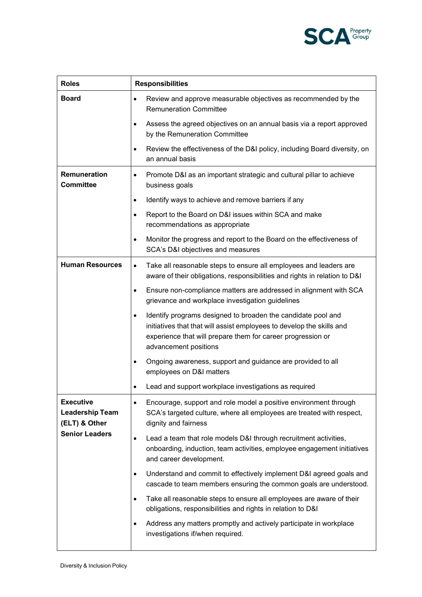

| <b>Roles</b>                                                                         | <b>Responsibilities</b>                                                                                                                                                                                                                    |  |
|--------------------------------------------------------------------------------------|--------------------------------------------------------------------------------------------------------------------------------------------------------------------------------------------------------------------------------------------|--|
| <b>Board</b>                                                                         | Review and approve measurable objectives as recommended by the<br>$\bullet$<br><b>Remuneration Committee</b>                                                                                                                               |  |
|                                                                                      | Assess the agreed objectives on an annual basis via a report approved<br>$\bullet$<br>by the Remuneration Committee                                                                                                                        |  |
|                                                                                      | Review the effectiveness of the D&I policy, including Board diversity, on<br>$\bullet$<br>an annual basis                                                                                                                                  |  |
| Remuneration<br><b>Committee</b>                                                     | Promote D&I as an important strategic and cultural pillar to achieve<br>$\bullet$<br>business goals                                                                                                                                        |  |
|                                                                                      | Identify ways to achieve and remove barriers if any<br>$\bullet$                                                                                                                                                                           |  |
|                                                                                      | Report to the Board on D&I issues within SCA and make<br>$\bullet$<br>recommendations as appropriate                                                                                                                                       |  |
|                                                                                      | Monitor the progress and report to the Board on the effectiveness of<br>$\bullet$<br>SCA's D&I objectives and measures                                                                                                                     |  |
| <b>Human Resources</b>                                                               | Take all reasonable steps to ensure all employees and leaders are<br>$\bullet$<br>aware of their obligations, responsibilities and rights in relation to D&I                                                                               |  |
|                                                                                      | Ensure non-compliance matters are addressed in alignment with SCA<br>$\bullet$<br>grievance and workplace investigation guidelines                                                                                                         |  |
|                                                                                      | Identify programs designed to broaden the candidate pool and<br>$\bullet$<br>initiatives that that will assist employees to develop the skills and<br>experience that will prepare them for career progression or<br>advancement positions |  |
|                                                                                      | Ongoing awareness, support and guidance are provided to all<br>$\bullet$<br>employees on D&I matters                                                                                                                                       |  |
|                                                                                      | Lead and support workplace investigations as required                                                                                                                                                                                      |  |
| <b>Executive</b><br><b>Leadership Team</b><br>(ELT) & Other<br><b>Senior Leaders</b> | Encourage, support and role model a positive environment through<br>$\bullet$<br>SCA's targeted culture, where all employees are treated with respect,<br>dignity and fairness                                                             |  |
|                                                                                      | Lead a team that role models D&I through recruitment activities,<br>$\bullet$<br>onboarding, induction, team activities, employee engagement initiatives<br>and career development.                                                        |  |
|                                                                                      | Understand and commit to effectively implement D&I agreed goals and<br>$\bullet$<br>cascade to team members ensuring the common goals are understood.                                                                                      |  |
|                                                                                      | Take all reasonable steps to ensure all employees are aware of their<br>$\bullet$<br>obligations, responsibilities and rights in relation to D&I                                                                                           |  |
|                                                                                      | Address any matters promptly and actively participate in workplace<br>$\bullet$<br>investigations if/when required.                                                                                                                        |  |